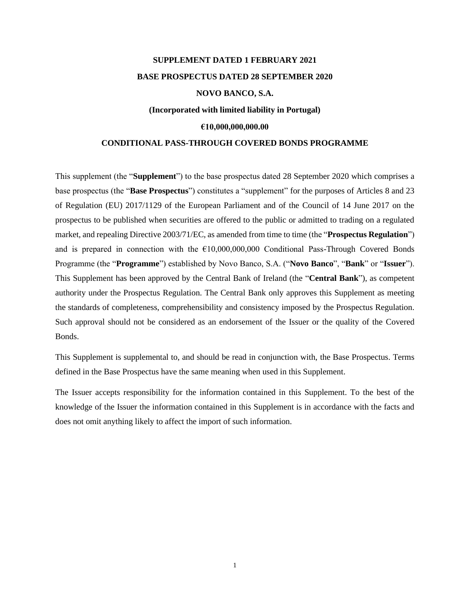# **SUPPLEMENT DATED 1 FEBRUARY 2021 BASE PROSPECTUS DATED 28 SEPTEMBER 2020 NOVO BANCO, S.A.**

# **(Incorporated with limited liability in Portugal)**

# **€10,000,000,000.00**

# **CONDITIONAL PASS-THROUGH COVERED BONDS PROGRAMME**

This supplement (the "**Supplement**") to the base prospectus dated 28 September 2020 which comprises a base prospectus (the "**Base Prospectus**") constitutes a "supplement" for the purposes of Articles 8 and 23 of Regulation (EU) 2017/1129 of the European Parliament and of the Council of 14 June 2017 on the prospectus to be published when securities are offered to the public or admitted to trading on a regulated market, and repealing Directive 2003/71/EC, as amended from time to time (the "**Prospectus Regulation**") and is prepared in connection with the  $\epsilon$ 10,000,000,000 Conditional Pass-Through Covered Bonds Programme (the "**Programme**") established by Novo Banco, S.A. ("**Novo Banco**", "**Bank**" or "**Issuer**"). This Supplement has been approved by the Central Bank of Ireland (the "**Central Bank**"), as competent authority under the Prospectus Regulation. The Central Bank only approves this Supplement as meeting the standards of completeness, comprehensibility and consistency imposed by the Prospectus Regulation. Such approval should not be considered as an endorsement of the Issuer or the quality of the Covered Bonds.

This Supplement is supplemental to, and should be read in conjunction with, the Base Prospectus. Terms defined in the Base Prospectus have the same meaning when used in this Supplement.

The Issuer accepts responsibility for the information contained in this Supplement. To the best of the knowledge of the Issuer the information contained in this Supplement is in accordance with the facts and does not omit anything likely to affect the import of such information.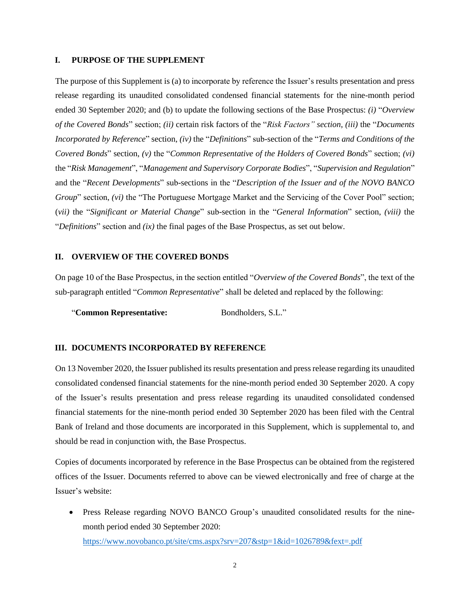#### **I. PURPOSE OF THE SUPPLEMENT**

The purpose of this Supplement is (a) to incorporate by reference the Issuer's results presentation and press release regarding its unaudited consolidated condensed financial statements for the nine-month period ended 30 September 2020; and (b) to update the following sections of the Base Prospectus: *(i)* "*Overview of the Covered Bonds*" section; *(ii)* certain risk factors of the "*Risk Factors" section*, *(iii)* the "*Documents Incorporated by Reference*" section, *(iv)* the "*Definitions*" sub-section of the "*Terms and Conditions of the Covered Bonds*" section, *(v)* the "*Common Representative of the Holders of Covered Bonds*" section; *(vi)* the "*Risk Management*", "*Management and Supervisory Corporate Bodies*", "*Supervision and Regulation*" and the "*Recent Developments*" sub-sections in the "*Description of the Issuer and of the NOVO BANCO Group*" section, *(vi)* the "The Portuguese Mortgage Market and the Servicing of the Cover Pool" section; (*vii)* the "*Significant or Material Change*" sub-section in the "*General Information*" section, *(viii)* the "*Definitions*" section and *(ix)* the final pages of the Base Prospectus, as set out below.

# **II. OVERVIEW OF THE COVERED BONDS**

On page 10 of the Base Prospectus, in the section entitled "*Overview of the Covered Bonds*", the text of the sub-paragraph entitled "*Common Representative*" shall be deleted and replaced by the following:

"**Common Representative:** Bondholders, S.L."

# **III. DOCUMENTS INCORPORATED BY REFERENCE**

On 13 November 2020, the Issuer published its results presentation and press release regarding its unaudited consolidated condensed financial statements for the nine-month period ended 30 September 2020. A copy of the Issuer's results presentation and press release regarding its unaudited consolidated condensed financial statements for the nine-month period ended 30 September 2020 has been filed with the Central Bank of Ireland and those documents are incorporated in this Supplement, which is supplemental to, and should be read in conjunction with, the Base Prospectus.

Copies of documents incorporated by reference in the Base Prospectus can be obtained from the registered offices of the Issuer. Documents referred to above can be viewed electronically and free of charge at the Issuer's website:

• Press Release regarding NOVO BANCO Group's unaudited consolidated results for the ninemonth period ended 30 September 2020: <https://www.novobanco.pt/site/cms.aspx?srv=207&stp=1&id=1026789&fext=.pdf>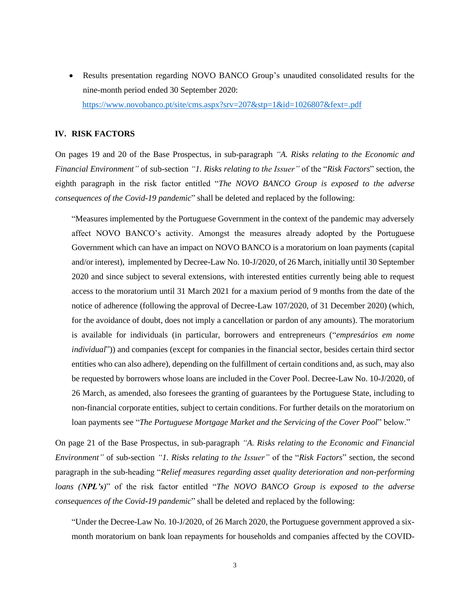• Results presentation regarding NOVO BANCO Group's unaudited consolidated results for the nine-month period ended 30 September 2020: <https://www.novobanco.pt/site/cms.aspx?srv=207&stp=1&id=1026807&fext=.pdf>

#### **IV. RISK FACTORS**

On pages 19 and 20 of the Base Prospectus, in sub-paragraph *"A. Risks relating to the Economic and Financial Environment"* of sub-section *"1. Risks relating to the Issuer"* of the "*Risk Factors*" section, the eighth paragraph in the risk factor entitled "*The NOVO BANCO Group is exposed to the adverse consequences of the Covid-19 pandemic*" shall be deleted and replaced by the following:

"Measures implemented by the Portuguese Government in the context of the pandemic may adversely affect NOVO BANCO's activity. Amongst the measures already adopted by the Portuguese Government which can have an impact on NOVO BANCO is a moratorium on loan payments (capital and/or interest), implemented by Decree-Law No. 10-J/2020, of 26 March, initially until 30 September 2020 and since subject to several extensions, with interested entities currently being able to request access to the moratorium until 31 March 2021 for a maxium period of 9 months from the date of the notice of adherence (following the approval of Decree-Law 107/2020, of 31 December 2020) (which, for the avoidance of doubt, does not imply a cancellation or pardon of any amounts). The moratorium is available for individuals (in particular, borrowers and entrepreneurs ("*empresários em nome individual*")) and companies (except for companies in the financial sector, besides certain third sector entities who can also adhere), depending on the fulfillment of certain conditions and, as such, may also be requested by borrowers whose loans are included in the Cover Pool. Decree-Law No. 10-J/2020, of 26 March, as amended, also foresees the granting of guarantees by the Portuguese State, including to non-financial corporate entities, subject to certain conditions. For further details on the moratorium on loan payments see "*The Portuguese Mortgage Market and the Servicing of the Cover Pool*" below."

On page 21 of the Base Prospectus, in sub-paragraph *"A. Risks relating to the Economic and Financial Environment"* of sub-section *"1. Risks relating to the Issuer"* of the "*Risk Factors*" section, the second paragraph in the sub-heading "*Relief measures regarding asset quality deterioration and non-performing loans (NPL's)*" of the risk factor entitled "*The NOVO BANCO Group is exposed to the adverse consequences of the Covid-19 pandemic*" shall be deleted and replaced by the following:

"Under the Decree-Law No. 10-J/2020, of 26 March 2020, the Portuguese government approved a sixmonth moratorium on bank loan repayments for households and companies affected by the COVID-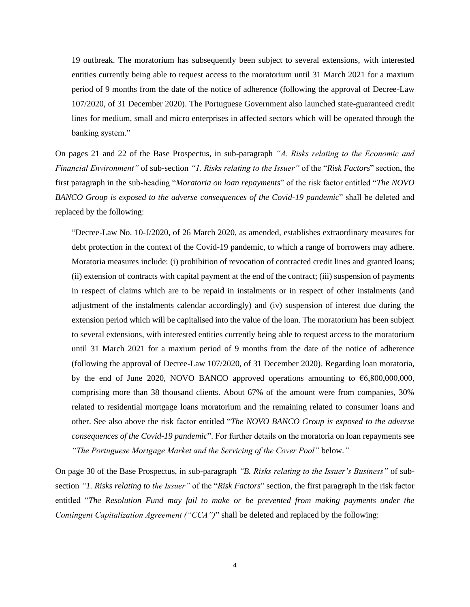19 outbreak. The moratorium has subsequently been subject to several extensions, with interested entities currently being able to request access to the moratorium until 31 March 2021 for a maxium period of 9 months from the date of the notice of adherence (following the approval of Decree-Law 107/2020, of 31 December 2020). The Portuguese Government also launched state-guaranteed credit lines for medium, small and micro enterprises in affected sectors which will be operated through the banking system."

On pages 21 and 22 of the Base Prospectus, in sub-paragraph *"A. Risks relating to the Economic and Financial Environment"* of sub-section *"1. Risks relating to the Issuer"* of the "*Risk Factors*" section, the first paragraph in the sub-heading "*Moratoria on loan repayments*" of the risk factor entitled "*The NOVO BANCO Group is exposed to the adverse consequences of the Covid-19 pandemic*" shall be deleted and replaced by the following:

"Decree-Law No. 10-J/2020, of 26 March 2020, as amended, establishes extraordinary measures for debt protection in the context of the Covid-19 pandemic, to which a range of borrowers may adhere. Moratoria measures include: (i) prohibition of revocation of contracted credit lines and granted loans; (ii) extension of contracts with capital payment at the end of the contract; (iii) suspension of payments in respect of claims which are to be repaid in instalments or in respect of other instalments (and adjustment of the instalments calendar accordingly) and (iv) suspension of interest due during the extension period which will be capitalised into the value of the loan. The moratorium has been subject to several extensions, with interested entities currently being able to request access to the moratorium until 31 March 2021 for a maxium period of 9 months from the date of the notice of adherence (following the approval of Decree-Law 107/2020, of 31 December 2020). Regarding loan moratoria, by the end of June 2020, NOVO BANCO approved operations amounting to €6,800,000,000, comprising more than 38 thousand clients. About 67% of the amount were from companies, 30% related to residential mortgage loans moratorium and the remaining related to consumer loans and other. See also above the risk factor entitled "*The NOVO BANCO Group is exposed to the adverse consequences of the Covid-19 pandemic*". For further details on the moratoria on loan repayments see *"The Portuguese Mortgage Market and the Servicing of the Cover Pool"* below.*"*

On page 30 of the Base Prospectus, in sub-paragraph *"B. Risks relating to the Issuer's Business"* of subsection *"1. Risks relating to the Issuer"* of the "*Risk Factors*" section, the first paragraph in the risk factor entitled "*The Resolution Fund may fail to make or be prevented from making payments under the Contingent Capitalization Agreement ("CCA")*" shall be deleted and replaced by the following: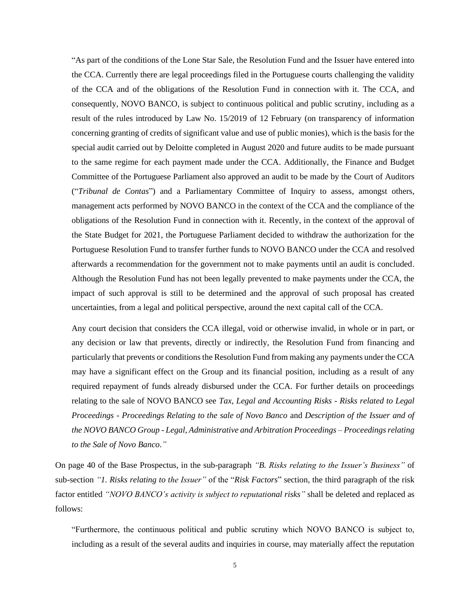"As part of the conditions of the Lone Star Sale, the Resolution Fund and the Issuer have entered into the CCA. Currently there are legal proceedings filed in the Portuguese courts challenging the validity of the CCA and of the obligations of the Resolution Fund in connection with it. The CCA, and consequently, NOVO BANCO, is subject to continuous political and public scrutiny, including as a result of the rules introduced by Law No. 15/2019 of 12 February (on transparency of information concerning granting of credits of significant value and use of public monies), which is the basis for the special audit carried out by Deloitte completed in August 2020 and future audits to be made pursuant to the same regime for each payment made under the CCA. Additionally, the Finance and Budget Committee of the Portuguese Parliament also approved an audit to be made by the Court of Auditors ("*Tribunal de Contas*") and a Parliamentary Committee of Inquiry to assess, amongst others, management acts performed by NOVO BANCO in the context of the CCA and the compliance of the obligations of the Resolution Fund in connection with it. Recently, in the context of the approval of the State Budget for 2021, the Portuguese Parliament decided to withdraw the authorization for the Portuguese Resolution Fund to transfer further funds to NOVO BANCO under the CCA and resolved afterwards a recommendation for the government not to make payments until an audit is concluded. Although the Resolution Fund has not been legally prevented to make payments under the CCA, the impact of such approval is still to be determined and the approval of such proposal has created uncertainties, from a legal and political perspective, around the next capital call of the CCA.

Any court decision that considers the CCA illegal, void or otherwise invalid, in whole or in part, or any decision or law that prevents, directly or indirectly, the Resolution Fund from financing and particularly that prevents or conditionsthe Resolution Fund from making any payments under the CCA may have a significant effect on the Group and its financial position, including as a result of any required repayment of funds already disbursed under the CCA. For further details on proceedings relating to the sale of NOVO BANCO see *Tax, Legal and Accounting Risks* - *Risks related to Legal Proceedings - Proceedings Relating to the sale of Novo Banco* and *Description of the Issuer and of the NOVO BANCO Group - Legal, Administrative and Arbitration Proceedings – Proceedings relating to the Sale of Novo Banco*.*"*

On page 40 of the Base Prospectus, in the sub-paragraph *"B. Risks relating to the Issuer's Business"* of sub-section *"1. Risks relating to the Issuer"* of the "*Risk Factors*" section, the third paragraph of the risk factor entitled *"NOVO BANCO's activity is subject to reputational risks"* shall be deleted and replaced as follows:

"Furthermore, the continuous political and public scrutiny which NOVO BANCO is subject to, including as a result of the several audits and inquiries in course, may materially affect the reputation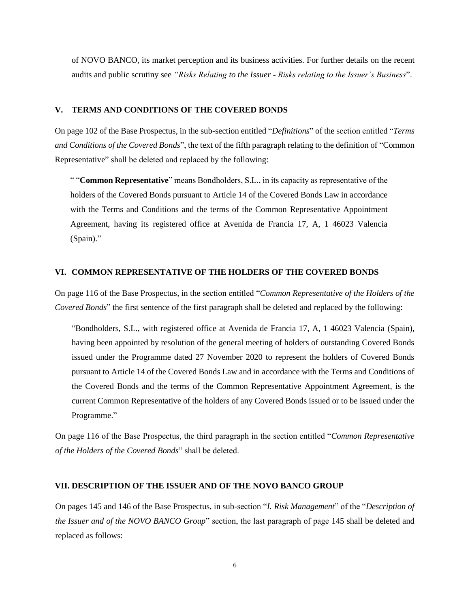of NOVO BANCO, its market perception and its business activities. For further details on the recent audits and public scrutiny see *"Risks Relating to the Issuer* - *Risks relating to the Issuer's Business*".

# **V. TERMS AND CONDITIONS OF THE COVERED BONDS**

On page 102 of the Base Prospectus, in the sub-section entitled "*Definitions*" of the section entitled "*Terms and Conditions of the Covered Bonds*", the text of the fifth paragraph relating to the definition of "Common Representative" shall be deleted and replaced by the following:

" "**Common Representative**" means Bondholders, S.L., in its capacity as representative of the holders of the Covered Bonds pursuant to Article 14 of the Covered Bonds Law in accordance with the Terms and Conditions and the terms of the Common Representative Appointment Agreement, having its registered office at Avenida de Francia 17, A, 1 46023 Valencia (Spain)."

# **VI. COMMON REPRESENTATIVE OF THE HOLDERS OF THE COVERED BONDS**

On page 116 of the Base Prospectus, in the section entitled "*Common Representative of the Holders of the Covered Bonds*" the first sentence of the first paragraph shall be deleted and replaced by the following:

"Bondholders, S.L., with registered office at Avenida de Francia 17, A, 1 46023 Valencia (Spain), having been appointed by resolution of the general meeting of holders of outstanding Covered Bonds issued under the Programme dated 27 November 2020 to represent the holders of Covered Bonds pursuant to Article 14 of the Covered Bonds Law and in accordance with the Terms and Conditions of the Covered Bonds and the terms of the Common Representative Appointment Agreement, is the current Common Representative of the holders of any Covered Bonds issued or to be issued under the Programme."

On page 116 of the Base Prospectus, the third paragraph in the section entitled "*Common Representative of the Holders of the Covered Bonds*" shall be deleted.

#### **VII. DESCRIPTION OF THE ISSUER AND OF THE NOVO BANCO GROUP**

On pages 145 and 146 of the Base Prospectus, in sub-section "*I. Risk Management*" of the "*Description of the Issuer and of the NOVO BANCO Group*" section, the last paragraph of page 145 shall be deleted and replaced as follows: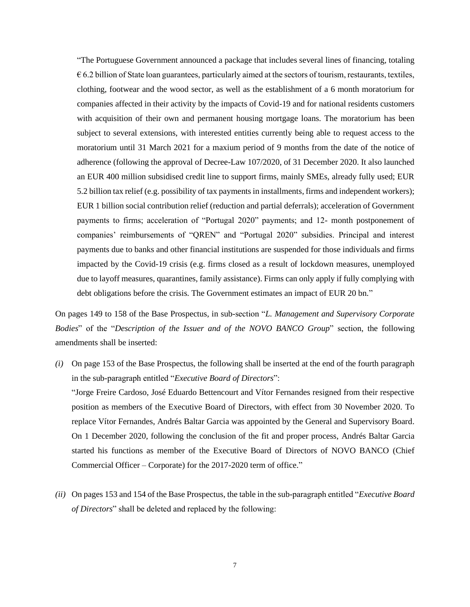"The Portuguese Government announced a package that includes several lines of financing, totaling  $\epsilon$  6.2 billion of State loan guarantees, particularly aimed at the sectors of tourism, restaurants, textiles, clothing, footwear and the wood sector, as well as the establishment of a 6 month moratorium for companies affected in their activity by the impacts of Covid-19 and for national residents customers with acquisition of their own and permanent housing mortgage loans. The moratorium has been subject to several extensions, with interested entities currently being able to request access to the moratorium until 31 March 2021 for a maxium period of 9 months from the date of the notice of adherence (following the approval of Decree-Law 107/2020, of 31 December 2020. It also launched an EUR 400 million subsidised credit line to support firms, mainly SMEs, already fully used; EUR 5.2 billion tax relief (e.g. possibility of tax payments in installments, firms and independent workers); EUR 1 billion social contribution relief (reduction and partial deferrals); acceleration of Government payments to firms; acceleration of "Portugal 2020" payments; and 12- month postponement of companies' reimbursements of "QREN" and "Portugal 2020" subsidies. Principal and interest payments due to banks and other financial institutions are suspended for those individuals and firms impacted by the Covid-19 crisis (e.g. firms closed as a result of lockdown measures, unemployed due to layoff measures, quarantines, family assistance). Firms can only apply if fully complying with debt obligations before the crisis. The Government estimates an impact of EUR 20 bn."

On pages 149 to 158 of the Base Prospectus, in sub-section "*L. Management and Supervisory Corporate Bodies*" of the "*Description of the Issuer and of the NOVO BANCO Group*" section, the following amendments shall be inserted:

*(i)* On page 153 of the Base Prospectus, the following shall be inserted at the end of the fourth paragraph in the sub-paragraph entitled "*Executive Board of Directors*":

"Jorge Freire Cardoso, José Eduardo Bettencourt and Vítor Fernandes resigned from their respective position as members of the Executive Board of Directors, with effect from 30 November 2020. To replace Vítor Fernandes, Andrés Baltar Garcia was appointed by the General and Supervisory Board. On 1 December 2020, following the conclusion of the fit and proper process, Andrés Baltar Garcia started his functions as member of the Executive Board of Directors of NOVO BANCO (Chief Commercial Officer – Corporate) for the 2017-2020 term of office."

*(ii)* On pages 153 and 154 of the Base Prospectus, the table in the sub-paragraph entitled "*Executive Board of Directors*" shall be deleted and replaced by the following: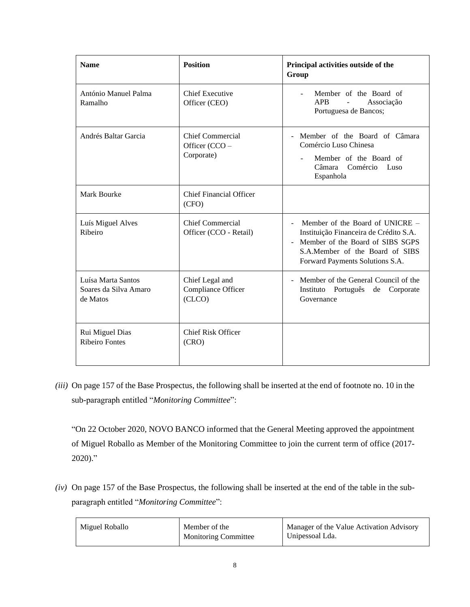| <b>Name</b>                                             | <b>Position</b>                                  | Principal activities outside of the<br>Group                                                                                                                                            |
|---------------------------------------------------------|--------------------------------------------------|-----------------------------------------------------------------------------------------------------------------------------------------------------------------------------------------|
| António Manuel Palma<br>Ramalho                         | <b>Chief Executive</b><br>Officer (CEO)          | Member of the Board of<br>÷.<br>APB<br>Associação<br>$\overline{a}$<br>Portuguesa de Bancos;                                                                                            |
| Andrés Baltar Garcia                                    | Chief Commercial<br>Officer (CCO -<br>Corporate) | - Member of the Board of Câmara<br>Comércio Luso Chinesa<br>Member of the Board of<br>Câmara<br>Comércio<br>Luso<br>Espanhola                                                           |
| Mark Bourke                                             | <b>Chief Financial Officer</b><br>(CFO)          |                                                                                                                                                                                         |
| Luís Miguel Alves<br>Ribeiro                            | Chief Commercial<br>Officer (CCO - Retail)       | Member of the Board of UNICRE $-$<br>Instituição Financeira de Crédito S.A.<br>- Member of the Board of SIBS SGPS<br>S.A.Member of the Board of SIBS<br>Forward Payments Solutions S.A. |
| Luísa Marta Santos<br>Soares da Silva Amaro<br>de Matos | Chief Legal and<br>Compliance Officer<br>(CLCO)  | - Member of the General Council of the<br>Instituto Português de<br>Corporate<br>Governance                                                                                             |
| Rui Miguel Dias<br><b>Ribeiro Fontes</b>                | <b>Chief Risk Officer</b><br>(CRO)               |                                                                                                                                                                                         |

*(iii)* On page 157 of the Base Prospectus, the following shall be inserted at the end of footnote no. 10 in the sub-paragraph entitled "*Monitoring Committee*":

"On 22 October 2020, NOVO BANCO informed that the General Meeting approved the appointment of Miguel Roballo as Member of the Monitoring Committee to join the current term of office (2017- 2020)."

*(iv)* On page 157 of the Base Prospectus, the following shall be inserted at the end of the table in the subparagraph entitled "*Monitoring Committee*":

| Miguel Roballo<br>Member of the<br><b>Monitoring Committee</b> | Manager of the Value Activation Advisory<br>Unipessoal Lda. |
|----------------------------------------------------------------|-------------------------------------------------------------|
|----------------------------------------------------------------|-------------------------------------------------------------|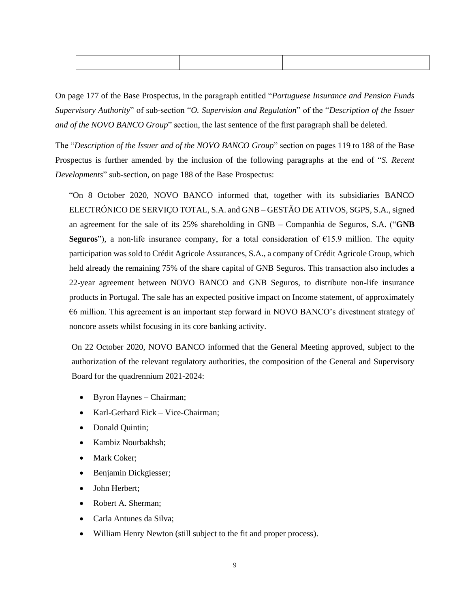On page 177 of the Base Prospectus, in the paragraph entitled "*Portuguese Insurance and Pension Funds Supervisory Authority*" of sub-section "*O. Supervision and Regulation*" of the "*Description of the Issuer and of the NOVO BANCO Group*" section, the last sentence of the first paragraph shall be deleted.

The "*Description of the Issuer and of the NOVO BANCO Group*" section on pages 119 to 188 of the Base Prospectus is further amended by the inclusion of the following paragraphs at the end of "*S. Recent Developments*" sub-section, on page 188 of the Base Prospectus:

"On 8 October 2020, NOVO BANCO informed that, together with its subsidiaries BANCO ELECTRÓNICO DE SERVIÇO TOTAL, S.A. and GNB – GESTÃO DE ATIVOS, SGPS, S.A., signed an agreement for the sale of its 25% shareholding in GNB – Companhia de Seguros, S.A. ("**GNB Seguros**"), a non-life insurance company, for a total consideration of  $E15.9$  million. The equity participation was sold to Crédit Agricole Assurances, S.A., a company of Crédit Agricole Group, which held already the remaining 75% of the share capital of GNB Seguros. This transaction also includes a 22-year agreement between NOVO BANCO and GNB Seguros, to distribute non-life insurance products in Portugal. The sale has an expected positive impact on Income statement, of approximately €6 million. This agreement is an important step forward in NOVO BANCO's divestment strategy of noncore assets whilst focusing in its core banking activity.

On 22 October 2020, NOVO BANCO informed that the General Meeting approved, subject to the authorization of the relevant regulatory authorities, the composition of the General and Supervisory Board for the quadrennium 2021-2024:

- Byron Haynes Chairman;
- Karl-Gerhard Eick Vice-Chairman;
- Donald Quintin;
- Kambiz Nourbakhsh;
- Mark Coker:
- Benjamin Dickgiesser;
- John Herbert;
- Robert A. Sherman;
- Carla Antunes da Silva;
- William Henry Newton (still subject to the fit and proper process).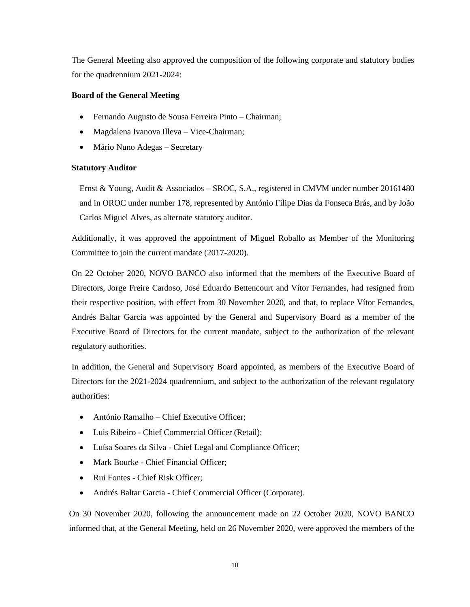The General Meeting also approved the composition of the following corporate and statutory bodies for the quadrennium 2021-2024:

# **Board of the General Meeting**

- Fernando Augusto de Sousa Ferreira Pinto Chairman;
- Magdalena Ivanova Illeva Vice-Chairman;
- Mário Nuno Adegas Secretary

# **Statutory Auditor**

Ernst & Young, Audit & Associados – SROC, S.A., registered in CMVM under number 20161480 and in OROC under number 178, represented by António Filipe Dias da Fonseca Brás, and by João Carlos Miguel Alves, as alternate statutory auditor.

Additionally, it was approved the appointment of Miguel Roballo as Member of the Monitoring Committee to join the current mandate (2017-2020).

On 22 October 2020, NOVO BANCO also informed that the members of the Executive Board of Directors, Jorge Freire Cardoso, José Eduardo Bettencourt and Vítor Fernandes, had resigned from their respective position, with effect from 30 November 2020, and that, to replace Vítor Fernandes, Andrés Baltar Garcia was appointed by the General and Supervisory Board as a member of the Executive Board of Directors for the current mandate, subject to the authorization of the relevant regulatory authorities.

In addition, the General and Supervisory Board appointed, as members of the Executive Board of Directors for the 2021-2024 quadrennium, and subject to the authorization of the relevant regulatory authorities:

- António Ramalho Chief Executive Officer;
- Luis Ribeiro Chief Commercial Officer (Retail);
- Luísa Soares da Silva Chief Legal and Compliance Officer;
- Mark Bourke Chief Financial Officer;
- Rui Fontes Chief Risk Officer:
- Andrés Baltar Garcia Chief Commercial Officer (Corporate).

On 30 November 2020, following the announcement made on 22 October 2020, NOVO BANCO informed that, at the General Meeting, held on 26 November 2020, were approved the members of the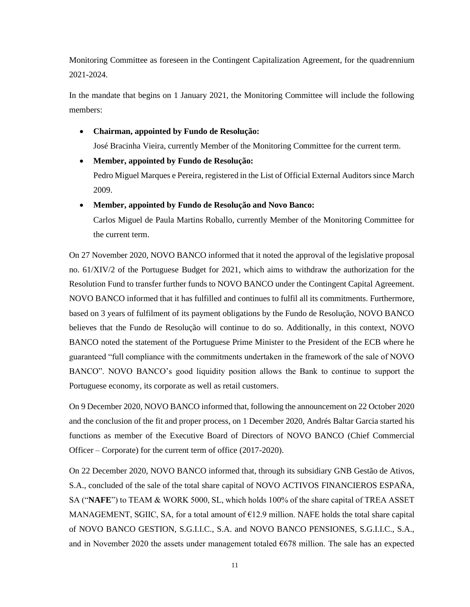Monitoring Committee as foreseen in the Contingent Capitalization Agreement, for the quadrennium 2021-2024.

In the mandate that begins on 1 January 2021, the Monitoring Committee will include the following members:

• **Chairman, appointed by Fundo de Resolução:** 

José Bracinha Vieira, currently Member of the Monitoring Committee for the current term.

• **Member, appointed by Fundo de Resolução:** 

Pedro Miguel Marques e Pereira, registered in the List of Official External Auditors since March 2009.

# • **Member, appointed by Fundo de Resolução and Novo Banco:**

Carlos Miguel de Paula Martins Roballo, currently Member of the Monitoring Committee for the current term.

On 27 November 2020, NOVO BANCO informed that it noted the approval of the legislative proposal no. 61/XIV/2 of the Portuguese Budget for 2021, which aims to withdraw the authorization for the Resolution Fund to transfer further funds to NOVO BANCO under the Contingent Capital Agreement. NOVO BANCO informed that it has fulfilled and continues to fulfil all its commitments. Furthermore, based on 3 years of fulfilment of its payment obligations by the Fundo de Resolução, NOVO BANCO believes that the Fundo de Resolução will continue to do so. Additionally, in this context, NOVO BANCO noted the statement of the Portuguese Prime Minister to the President of the ECB where he guaranteed "full compliance with the commitments undertaken in the framework of the sale of NOVO BANCO". NOVO BANCO's good liquidity position allows the Bank to continue to support the Portuguese economy, its corporate as well as retail customers.

On 9 December 2020, NOVO BANCO informed that, following the announcement on 22 October 2020 and the conclusion of the fit and proper process, on 1 December 2020, Andrés Baltar Garcia started his functions as member of the Executive Board of Directors of NOVO BANCO (Chief Commercial Officer – Corporate) for the current term of office (2017-2020).

On 22 December 2020, NOVO BANCO informed that, through its subsidiary GNB Gestão de Ativos, S.A., concluded of the sale of the total share capital of NOVO ACTIVOS FINANCIEROS ESPAÑA, SA ("**NAFE**") to TEAM & WORK 5000, SL, which holds 100% of the share capital of TREA ASSET MANAGEMENT, SGIIC, SA, for a total amount of €12.9 million. NAFE holds the total share capital of NOVO BANCO GESTION, S.G.I.I.C., S.A. and NOVO BANCO PENSIONES, S.G.I.I.C., S.A., and in November 2020 the assets under management totaled  $\epsilon$ 678 million. The sale has an expected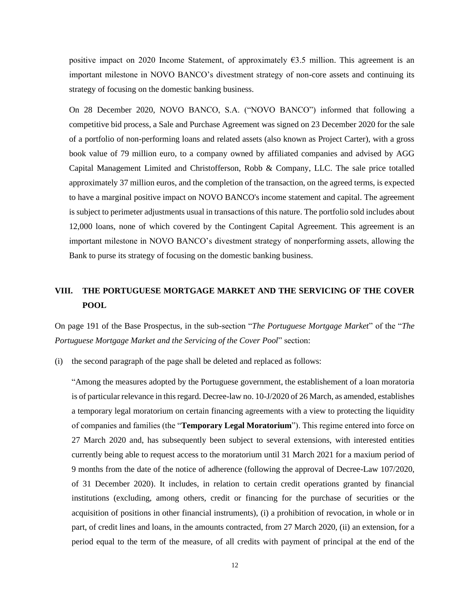positive impact on 2020 Income Statement, of approximately  $63.5$  million. This agreement is an important milestone in NOVO BANCO's divestment strategy of non-core assets and continuing its strategy of focusing on the domestic banking business.

On 28 December 2020, NOVO BANCO, S.A. ("NOVO BANCO") informed that following a competitive bid process, a Sale and Purchase Agreement was signed on 23 December 2020 for the sale of a portfolio of non-performing loans and related assets (also known as Project Carter), with a gross book value of 79 million euro, to a company owned by affiliated companies and advised by AGG Capital Management Limited and Christofferson, Robb & Company, LLC. The sale price totalled approximately 37 million euros, and the completion of the transaction, on the agreed terms, is expected to have a marginal positive impact on NOVO BANCO's income statement and capital. The agreement is subject to perimeter adjustments usual in transactions of this nature. The portfolio sold includes about 12,000 loans, none of which covered by the Contingent Capital Agreement. This agreement is an important milestone in NOVO BANCO's divestment strategy of nonperforming assets, allowing the Bank to purse its strategy of focusing on the domestic banking business.

# **VIII. THE PORTUGUESE MORTGAGE MARKET AND THE SERVICING OF THE COVER POOL**

On page 191 of the Base Prospectus, in the sub-section "*The Portuguese Mortgage Market*" of the "*The Portuguese Mortgage Market and the Servicing of the Cover Pool*" section:

(i) the second paragraph of the page shall be deleted and replaced as follows:

"Among the measures adopted by the Portuguese government, the establishement of a loan moratoria is of particular relevance in this regard. Decree-law no. 10-J/2020 of 26 March, as amended, establishes a temporary legal moratorium on certain financing agreements with a view to protecting the liquidity of companies and families (the "**Temporary Legal Moratorium**"). This regime entered into force on 27 March 2020 and, has subsequently been subject to several extensions, with interested entities currently being able to request access to the moratorium until 31 March 2021 for a maxium period of 9 months from the date of the notice of adherence (following the approval of Decree-Law 107/2020, of 31 December 2020). It includes, in relation to certain credit operations granted by financial institutions (excluding, among others, credit or financing for the purchase of securities or the acquisition of positions in other financial instruments), (i) a prohibition of revocation, in whole or in part, of credit lines and loans, in the amounts contracted, from 27 March 2020, (ii) an extension, for a period equal to the term of the measure, of all credits with payment of principal at the end of the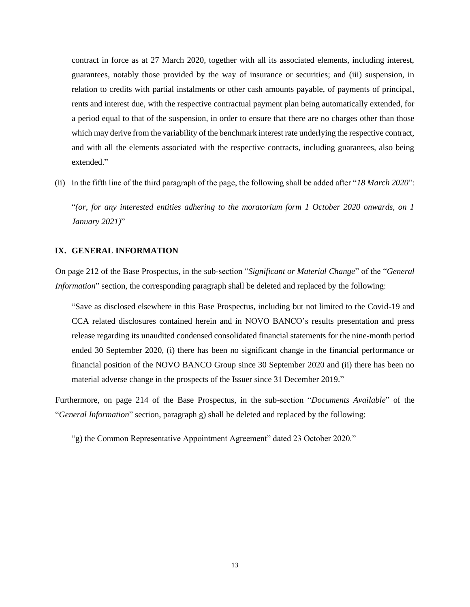contract in force as at 27 March 2020, together with all its associated elements, including interest, guarantees, notably those provided by the way of insurance or securities; and (iii) suspension, in relation to credits with partial instalments or other cash amounts payable, of payments of principal, rents and interest due, with the respective contractual payment plan being automatically extended, for a period equal to that of the suspension, in order to ensure that there are no charges other than those which may derive from the variability of the benchmark interest rate underlying the respective contract, and with all the elements associated with the respective contracts, including guarantees, also being extended."

(ii) in the fifth line of the third paragraph of the page, the following shall be added after "*18 March 2020*":

"*(or, for any interested entities adhering to the moratorium form 1 October 2020 onwards, on 1 January 2021)*"

### **IX. GENERAL INFORMATION**

On page 212 of the Base Prospectus, in the sub-section "*Significant or Material Change*" of the "*General Information*" section, the corresponding paragraph shall be deleted and replaced by the following:

"Save as disclosed elsewhere in this Base Prospectus, including but not limited to the Covid-19 and CCA related disclosures contained herein and in NOVO BANCO's results presentation and press release regarding its unaudited condensed consolidated financial statements for the nine-month period ended 30 September 2020, (i) there has been no significant change in the financial performance or financial position of the NOVO BANCO Group since 30 September 2020 and (ii) there has been no material adverse change in the prospects of the Issuer since 31 December 2019."

Furthermore, on page 214 of the Base Prospectus, in the sub-section "*Documents Available*" of the "*General Information*" section, paragraph g) shall be deleted and replaced by the following:

"g) the Common Representative Appointment Agreement" dated 23 October 2020."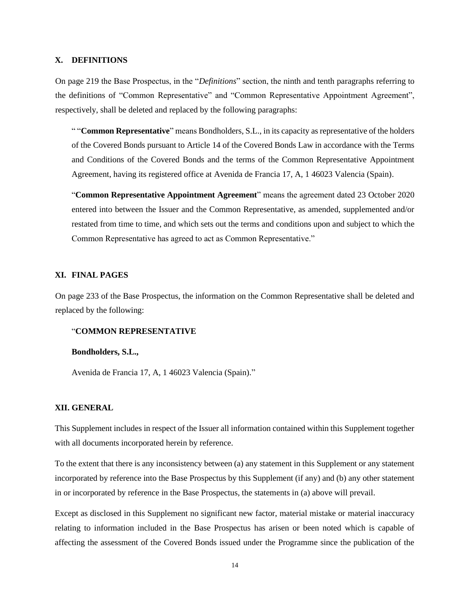# **X. DEFINITIONS**

On page 219 the Base Prospectus, in the "*Definitions*" section, the ninth and tenth paragraphs referring to the definitions of "Common Representative" and "Common Representative Appointment Agreement", respectively, shall be deleted and replaced by the following paragraphs:

" "**Common Representative**" means Bondholders, S.L., in its capacity as representative of the holders of the Covered Bonds pursuant to Article 14 of the Covered Bonds Law in accordance with the Terms and Conditions of the Covered Bonds and the terms of the Common Representative Appointment Agreement, having its registered office at Avenida de Francia 17, A, 1 46023 Valencia (Spain).

"**Common Representative Appointment Agreement**" means the agreement dated 23 October 2020 entered into between the Issuer and the Common Representative, as amended, supplemented and/or restated from time to time, and which sets out the terms and conditions upon and subject to which the Common Representative has agreed to act as Common Representative."

#### **XI. FINAL PAGES**

On page 233 of the Base Prospectus, the information on the Common Representative shall be deleted and replaced by the following:

# "**COMMON REPRESENTATIVE**

#### **Bondholders, S.L.,**

Avenida de Francia 17, A, 1 46023 Valencia (Spain)."

#### **XII. GENERAL**

This Supplement includes in respect of the Issuer all information contained within this Supplement together with all documents incorporated herein by reference.

To the extent that there is any inconsistency between (a) any statement in this Supplement or any statement incorporated by reference into the Base Prospectus by this Supplement (if any) and (b) any other statement in or incorporated by reference in the Base Prospectus, the statements in (a) above will prevail.

Except as disclosed in this Supplement no significant new factor, material mistake or material inaccuracy relating to information included in the Base Prospectus has arisen or been noted which is capable of affecting the assessment of the Covered Bonds issued under the Programme since the publication of the